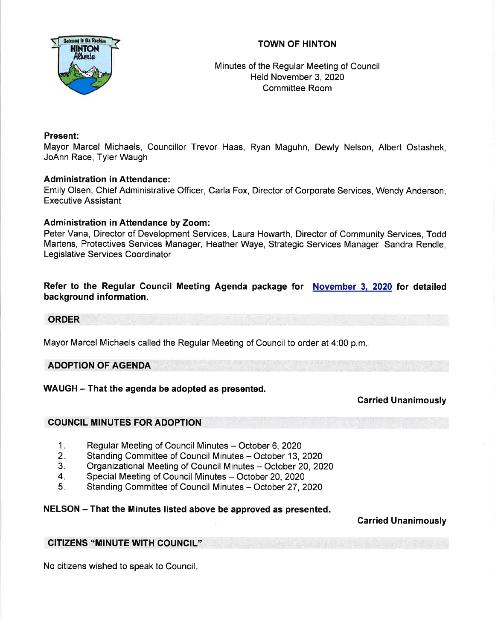# TOWN OF HINTON



Minutes of the Regular Meeting of Council Held November 3,202Q Committee Room

## Present:

Mayor Marcel Michaels, Councillor Trevor Haas, Ryan Maguhn, Dewly Nelson, Albert Ostashek, JoAnn Race, Tyler Waugh

# Administration in Attendance:

Emily Olsen, Chief Administrative Officer, Carla Fox, Director of Corporate Services, Wendy Anderson, Executive Assistant

# Administration in Attendance by Zoom:

Peter Vana, Director of Development Services, Laura Howarth, Director of Community Services, Todd Martens, Protectives Services Manager, Heather Waye, Strategic Services Manager, Sandra Rendle, Legislative Services Coordinator

## Refer to the Regular Council Meeting Agenda package for November 3. 2020 for detailed background information.

#### ORDER

Mayor Marcel Michaels called the Regular Meeting of Council to order at 4:00 p.m

## ADOPTION OF AGENDA

## WAUGH - That the agenda be adopted as presented.

## Carried Unanimously

## COUNCIL MINUTES FOR ADOPTION

- Regular Meeting of Council Minutes October 6, 2020  $1.$
- Standing Committee of Council Minutes October 13, 2020  $2.$
- Organizational Meeting of Council Minutes October 20, 2020 3
- Special Meeting of Council Minutes October 20, 2020 4
- Standing Committee of Council Minutes October 27, 2020  $5.$

## NELSON - That the Minutes listed above be approved as presented.

## Carried Unanimously

## CITIZENS "MINUTE WITH COUNCIL"

No citizens wished to speak to Council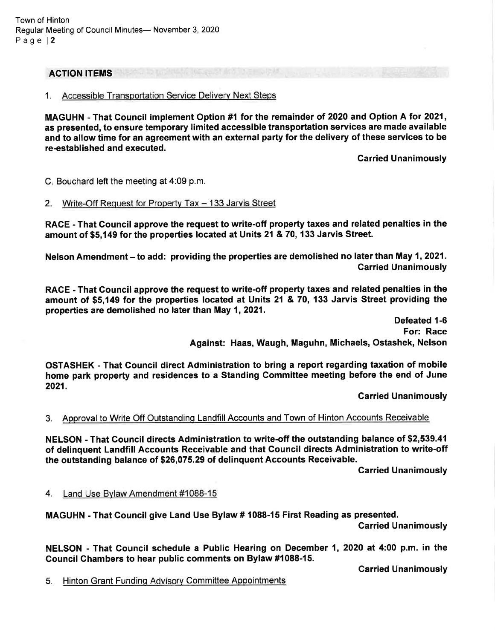#### ACTION ITEMS

#### 1. Accessible Transportation Service Deliverv Next Steps

MAGUHN - That Gouncil implement Option #1 for the remainder of 2O2O and Option A for 2021, as presented, to ensure temporary limited accessible transportation services are made available and to allow time for an agreement with an external party for the delivery of these services to be re-established and executed.

Carried Unanimously

C. Bouchard left the meeting at 4:09 p.m.

#### 2. Write-Off Request for Property Tax - 133 Jarvis Street

RACE - That Gouncil approve the request to write-off property taxes and related penalties in the amount of \$5,149 for the properties located at Units 21 & 70, 133 Jarvis Street.

Nelson Amendment – to add: providing the properties are demolished no later than May 1, 2021. Carried Unanimously

RACE - That Gouncil approve the request to write-off property taxes and related penalties in the amount of \$5,149 for the properties located at Units 21 & 70, 133 Jarvis Street providing the properties are demolished no later than May 1,2021.

> Defeated 1-6 For: Race Against: Haas, Waugh, Maguhn, Michaels, Ostashek, Nelson

OSTASHEK - That Council direct Administration to bring a report regarding taxation of mobile home park property and residences to a Standing Gommittee meeting before the end of June 2021.

Carried Unanimously

## 3. Aooroval to Write Off Outstandinq Landfill Accounts and Town of Hinton Accounts Receivable

NELSON - That Gouncil directs Administration to write-off the outstanding balance of \$2,539.41 of delinquent Landfill Accounts Receivable and that Council directs Administration to write-off the outstanding balance of \$26,075.29 of delinquent Accounts Receivable

carried Unanimously

4. Land Use Bvlaw Amendment #1088-15

MAGUHN - That Gouncil give Land Use Bylaw # 1088-15 First Reading as presented.

Garried Unanimously

NELSON - That Gouncil schedule a Public Hearing on December 1, 2020 at 4:00 p.m. in the Gouncil Ghambers to hear public comments on Bylaw #1088-15.

Garried Unanimously

5. Hinton Grant Funding Advisory Committee Appointments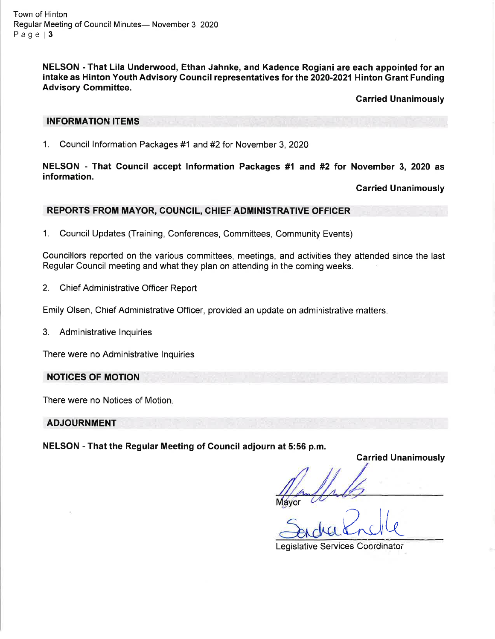Town of Hinton Regular Meeting of Council Minutes- November 3, 2020 Page 13

> NELSON - That Lila Underwood, Ethan Jahnke, and Kadence Rogiani are each appointed for an intake as Hinton Youth Advisory Council representatives for the 2020-2021 Hinton Grant Funding Advisory Committee.

> > Garried Unanimously

#### INFORMATION ITEMS

1. Council lnformation Packages #1 and #2for November 3,2020

NELSON - That Gouncil accept lnformation Packages #1 and #2 for November 3, 2020 as information.

Carried Unanimously

#### REPORTS FROM MAYOR, COUNCIL, CHIEF ADMINISTRATIVE OFFICER

1. Council Updates (Training, Conferences, Committees, Community Events)

Councillors reported on the various committees, meetings, and activities they attended since the last Regular Council meeting and what they plan on attending in the coming weeks.

2. Chief Administrative Officer Report

Emily Olsen, Chief Administrative Officer, provided an update on administrative matters.

3. Administrative lnquiries

There were no Administrative lnquiries

#### NOTIGES OF MOTION

There were no Notices of Motion

#### **ADJOURNMENT**

NELSON - That the Regular Meeting of Council adjourn at 5:56 p.m.

**Carried Unanimously** 

r

Proble

Legislative Services Coordinator